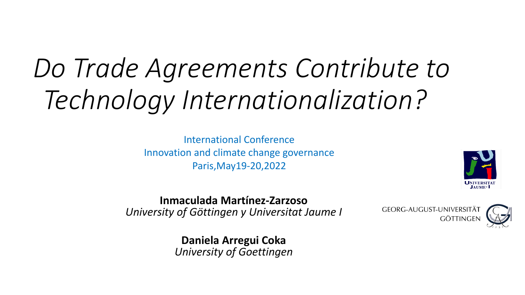## *Do Trade Agreements Contribute to Technology Internationalization?*

International Conference Innovation and climate change governance Paris,May19-20,2022



**Inmaculada Martínez-Zarzoso** *University of Göttingen y Universitat Jaume I*

GEORG-AUGUST-UNIVERSITÄT **GÖTTINGE** 



**Daniela Arregui Coka** *University of Goettingen*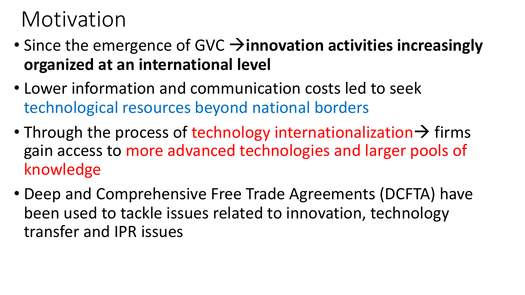#### Motivation

- Since the emergence of GVC  $\rightarrow$  **innovation activities increasingly organized at an international level**
- Lower information and communication costs led to seek technological resources beyond national borders
- Through the process of technology internationalization  $\rightarrow$  firms gain access to more advanced technologies and larger pools of knowledge
- Deep and Comprehensive Free Trade Agreements (DCFTA) have been used to tackle issues related to innovation, technology transfer and IPR issues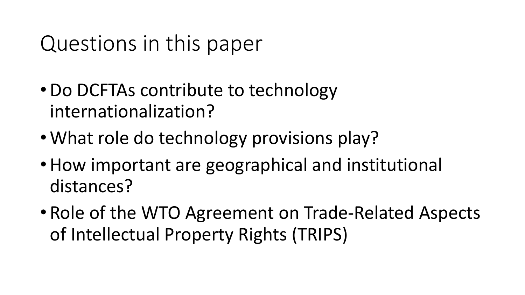#### Questions in this paper

- •Do DCFTAs contribute to technology internationalization?
- What role do technology provisions play?
- How important are geographical and institutional distances?
- Role of the WTO Agreement on Trade-Related Aspects of Intellectual Property Rights (TRIPS)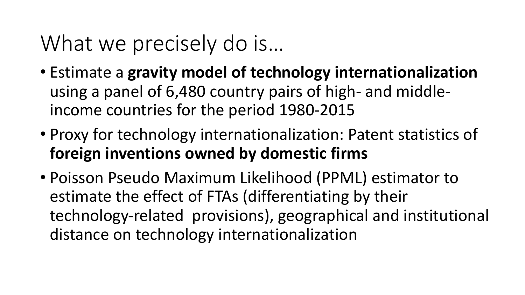#### What we precisely do is...

- Estimate a **gravity model of technology internationalization**  using a panel of 6,480 country pairs of high- and middleincome countries for the period 1980-2015
- Proxy for technology internationalization: Patent statistics of **foreign inventions owned by domestic firms**
- Poisson Pseudo Maximum Likelihood (PPML) estimator to estimate the effect of FTAs (differentiating by their technology-related provisions), geographical and institutional distance on technology internationalization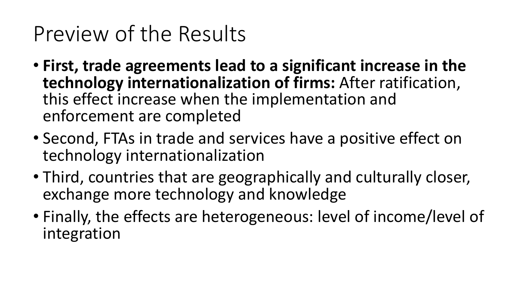### Preview of the Results

- **First, trade agreements lead to a significant increase in the technology internationalization of firms:** After ratification, this effect increase when the implementation and enforcement are completed
- Second, FTAs in trade and services have a positive effect on technology internationalization
- Third, countries that are geographically and culturally closer, exchange more technology and knowledge
- Finally, the effects are heterogeneous: level of income/level of integration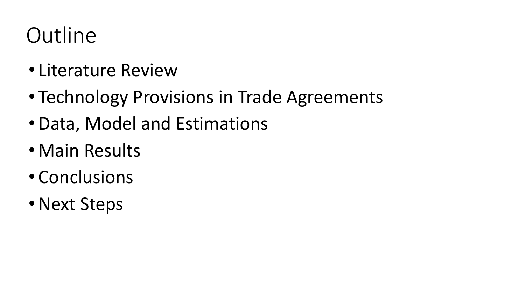## **Outline**

- Literature Review
- Technology Provisions in Trade Agreements
- •Data, Model and Estimations
- Main Results
- Conclusions
- Next Steps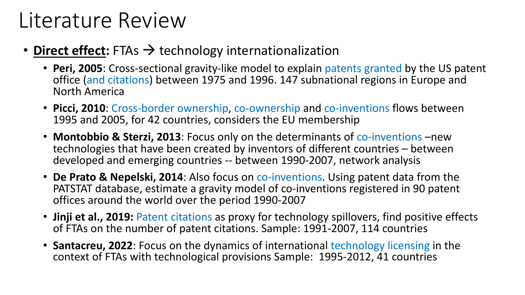#### Literature Review

#### • **Direct effect:** FTAs  $\rightarrow$  technology internationalization

- **Peri, 2005**: Cross-sectional gravity-like model to explain patents granted by the US patent office (and citations) between 1975 and 1996. 147 subnational regions in Europe and North America
- **Picci, 2010**: Cross-border ownership, co-ownership and co-inventions flows between 1995 and 2005, for 42 countries, considers the EU membership
- **Montobbio & Sterzi, 2013**: Focus only on the determinants of co-inventions –new technologies that have been created by inventors of different countries – between developed and emerging countries -- between 1990-2007, network analysis
- **De Prato & Nepelski, 2014**: Also focus on co-inventions. Using patent data from the PATSTAT database, estimate a gravity model of co-inventions registered in 90 patent offices around the world over the period 1990-2007
- **Jinji et al., 2019:** Patent citations as proxy for technology spillovers, find positive effects of FTAs on the number of patent citations. Sample: 1991-2007, 114 countries
- **Santacreu, 2022**: Focus on the dynamics of international technology licensing in the context of FTAs with technological provisions Sample: 1995-2012, 41 countries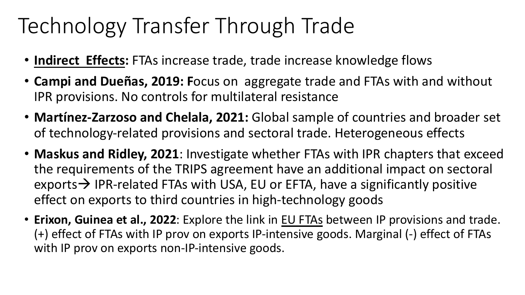## Technology Transfer Through Trade

- **Indirect Effects:** FTAs increase trade, trade increase knowledge flows
- **Campi and Dueñas, 2019: F**ocus on aggregate trade and FTAs with and without IPR provisions. No controls for multilateral resistance
- **Martínez-Zarzoso and Chelala, 2021:** Global sample of countries and broader set of technology-related provisions and sectoral trade. Heterogeneous effects
- **Maskus and Ridley, 2021**: Investigate whether FTAs with IPR chapters that exceed the requirements of the TRIPS agreement have an additional impact on sectoral exports  $\rightarrow$  IPR-related FTAs with USA, EU or EFTA, have a significantly positive effect on exports to third countries in high-technology goods
- **Erixon, Guinea et al., 2022**: Explore the link in EU FTAs between IP provisions and trade. (+) effect of FTAs with IP prov on exports IP-intensive goods. Marginal (-) effect of FTAs with IP prov on exports non-IP-intensive goods.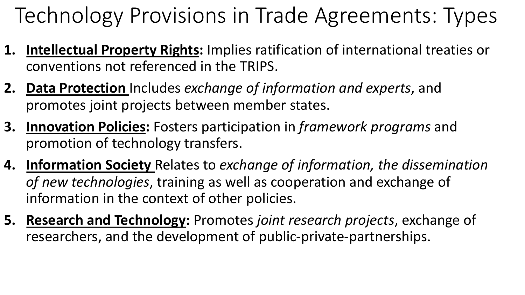Technology Provisions in Trade Agreements: Types

- **1. Intellectual Property Rights:** Implies ratification of international treaties or conventions not referenced in the TRIPS.
- **2. Data Protection** Includes *exchange of information and experts*, and promotes joint projects between member states.
- **3. Innovation Policies:** Fosters participation in *framework programs* and promotion of technology transfers.
- **4. Information Society** Relates to *exchange of information, the dissemination of new technologies*, training as well as cooperation and exchange of information in the context of other policies.
- **5. Research and Technology:** Promotes *joint research projects*, exchange of researchers, and the development of public-private-partnerships.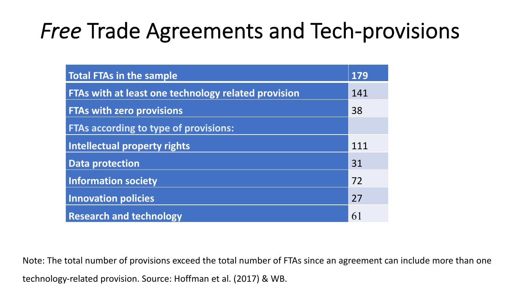#### *Free* Trade Agreements and Tech-provisions

| <b>Total FTAs in the sample</b>                     | 179 |
|-----------------------------------------------------|-----|
| FTAs with at least one technology related provision | 141 |
| <b>FTAs with zero provisions</b>                    | 38  |
| <b>FTAs according to type of provisions:</b>        |     |
| <b>Intellectual property rights</b>                 | 111 |
| <b>Data protection</b>                              | 31  |
| <b>Information society</b>                          | 72  |
| <b>Innovation policies</b>                          | 27  |
| <b>Research and technology</b>                      | 61  |

Note: The total number of provisions exceed the total number of FTAs since an agreement can include more than one

technology-related provision. Source: Hoffman et al. (2017) & WB.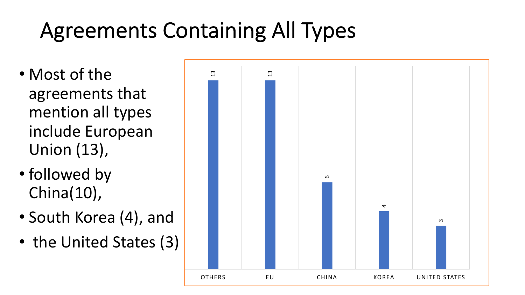## Agreements Containing All Types

- Most of the agreements that mention all types include European Union (13),
- followed by China(10),
- South Korea (4), and
- the United States (3)

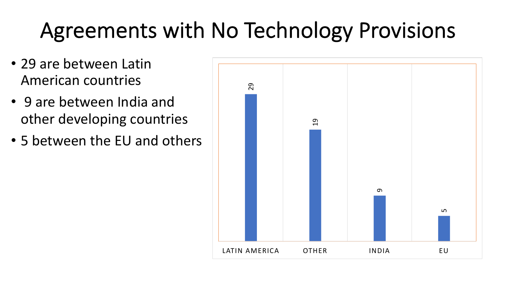## Agreements with No Technology Provisions

- 29 are between Latin American countries
- 9 are between India and other developing countries
- 5 between the EU and others

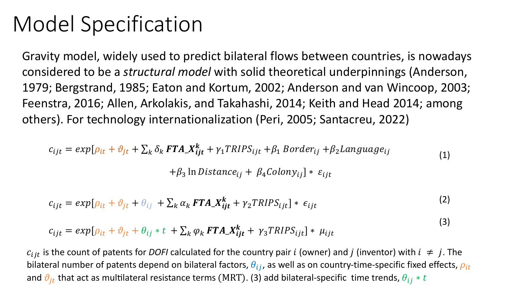#### Model Specification

Gravity model, widely used to predict bilateral flows between countries, is nowadays considered to be a *structural model* with solid theoretical underpinnings (Anderson, 1979; Bergstrand, 1985; Eaton and Kortum, 2002; Anderson and van Wincoop, 2003; Feenstra, 2016; Allen, Arkolakis, and Takahashi, 2014; Keith and Head 2014; among others). For technology internationalization (Peri, 2005; Santacreu, 2022)

$$
c_{ijt} = exp[\rho_{it} + \vartheta_{jt} + \sum_{k} \delta_k \mathbf{FTA} \mathbf{X}_{ijt}^k + \gamma_1 TRIPS_{ijt} + \beta_1 Border_{ij} + \beta_2 Language_{ij} \tag{1}
$$

 $+ \beta_3$  ln Distance<sub>ij</sub> +  $\beta_4$ Colony<sub>ij</sub> | \*  $\varepsilon_{ijt}$ 

$$
c_{ijt} = exp[\rho_{it} + \vartheta_{jt} + \theta_{ij} + \sum_{k} \alpha_{k} \mathbf{F} \mathbf{T} \mathbf{A}_{ijt} + \gamma_{2} \mathbf{T} \mathbf{R} \mathbf{I} \mathbf{P} \mathbf{S}_{ijt}] * \epsilon_{ijt}
$$
 (2)

(3)

$$
c_{ijt} = exp[\rho_{it} + \vartheta_{jt} + \theta_{ij} * t + \sum_{k} \varphi_{k} \mathbf{FTA} \mathbf{X}_{ijt}^{k} + \gamma_{3} \mathbf{TRIPS}_{ijt}] * \mu_{ijt}
$$

 $c_{ijt}$  is the count of patents for *DOFI* calculated for the country pair *i* (owner) and *j* (inventor) with  $i \neq j$ . The bilateral number of patents depend on bilateral factors,  $\theta_{ij}$ , as well as on country-time-specific fixed effects,  $\rho_{it}$ and  $\vartheta_{it}$  that act as multilateral resistance terms (MRT). (3) add bilateral-specific time trends,  $\theta_{ij} * t$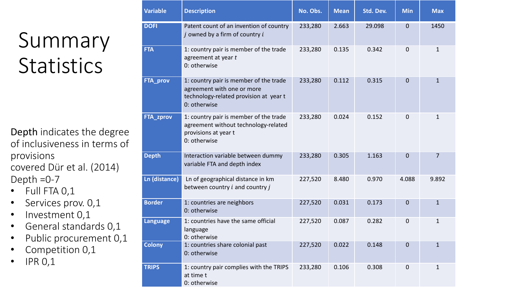## Summary **Statistics**

Depth indicates the degree of inclusiveness in terms of provisions covered Dür et al. (2014) Depth  $=0-7$ 

- Full FTA 0,1
- Services prov. 0,1
- Investment 0,1
- General standards 0,1
- Public procurement 0,1
- Competition 0,1
- $\cdot$  IPR 0,1

| <b>Variable</b>  | <b>Description</b>                                                                                                             | No. Obs. | <b>Mean</b> | Std. Dev. | <b>Min</b>     | <b>Max</b>   |
|------------------|--------------------------------------------------------------------------------------------------------------------------------|----------|-------------|-----------|----------------|--------------|
| <b>DOFI</b>      | Patent count of an invention of country<br>$i$ owned by a firm of country $i$                                                  | 233,280  | 2.663       | 29.098    | $\mathbf 0$    | 1450         |
| <b>FTA</b>       | 1: country pair is member of the trade<br>agreement at year t<br>0: otherwise                                                  | 233,280  | 0.135       | 0.342     | $\overline{0}$ | $\mathbf{1}$ |
| FTA_prov         | 1: country pair is member of the trade<br>agreement with one or more<br>technology-related provision at year t<br>0: otherwise | 233,280  | 0.112       | 0.315     | $\mathbf 0$    | $\mathbf{1}$ |
| <b>FTA_zprov</b> | 1: country pair is member of the trade<br>agreement without technology-related<br>provisions at year t<br>0: otherwise         | 233,280  | 0.024       | 0.152     | $\overline{0}$ | 1            |
| <b>Depth</b>     | Interaction variable between dummy<br>variable FTA and depth index                                                             | 233,280  | 0.305       | 1.163     | $\mathbf 0$    | 7            |
| Ln (distance)    | Ln of geographical distance in km<br>between country $i$ and country $j$                                                       | 227,520  | 8.480       | 0.970     | 4.088          | 9.892        |
| <b>Border</b>    | 1: countries are neighbors<br>0: otherwise                                                                                     | 227,520  | 0.031       | 0.173     | $\mathbf 0$    | $\mathbf{1}$ |
| Language         | 1: countries have the same official<br>language<br>0: otherwise                                                                | 227,520  | 0.087       | 0.282     | $\overline{0}$ | 1            |
| <b>Colony</b>    | 1: countries share colonial past<br>0: otherwise                                                                               | 227,520  | 0.022       | 0.148     | $\mathbf 0$    | $\mathbf{1}$ |
| <b>TRIPS</b>     | 1: country pair complies with the TRIPS<br>at time t<br>0: otherwise                                                           | 233,280  | 0.106       | 0.308     | $\mathbf 0$    | $\mathbf{1}$ |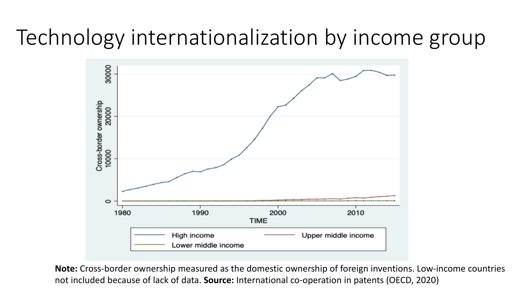#### Technology internationalization by income group



**Note:** Cross-border ownership measured as the domestic ownership of foreign inventions. Low-income countries not included because of lack of data. **Source:** International co-operation in patents (OECD, 2020)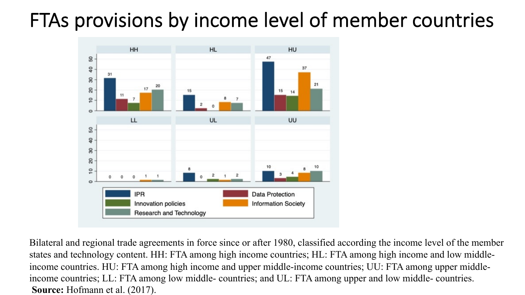#### FTAs provisions by income level of member countries



Bilateral and regional trade agreements in force since or after 1980, classified according the income level of the member states and technology content. HH: FTA among high income countries; HL: FTA among high income and low middleincome countries. HU: FTA among high income and upper middle-income countries; UU: FTA among upper middleincome countries; LL: FTA among low middle- countries; and UL: FTA among upper and low middle- countries. **Source:** Hofmann et al. (2017).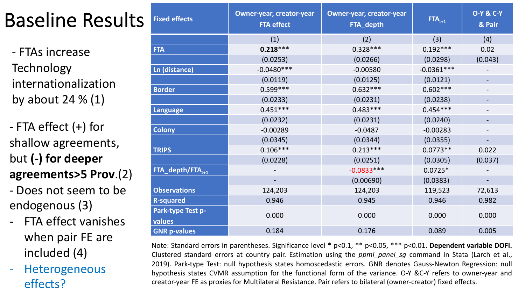#### Baseline Results

- FTAs increase **Technology** internationalization by about 24  $\%$  (1)

- FTA effect (+) for shallow agreements, but **(-) for deeper agreements>5 Prov**.(2)

- Does not seem to be endogenous (3)

- FTA effect vanishes when pair FE are included (4)
- Heterogeneous effects?

| <b>Fixed effects</b>         | <b>Owner-year, creator-year</b><br><b>Owner-year, creator-year</b><br><b>FTA effect</b><br>FTA_depth |              | $FTA_{t+1}$  | <b>O-Y &amp; C-Y</b><br>& Pair |
|------------------------------|------------------------------------------------------------------------------------------------------|--------------|--------------|--------------------------------|
|                              | (1)                                                                                                  | (2)          | (3)          | (4)                            |
| <b>FTA</b>                   | $0.218***$                                                                                           | $0.328***$   | $0.192***$   | 0.02                           |
|                              | (0.0253)                                                                                             | (0.0266)     | (0.0298)     | (0.043)                        |
| Ln (distance)                | $-0.0480***$                                                                                         | $-0.00580$   | $-0.0361***$ |                                |
|                              | (0.0119)                                                                                             | (0.0125)     | (0.0121)     |                                |
| <b>Border</b>                | $0.599***$                                                                                           | $0.632***$   | $0.602***$   |                                |
|                              | (0.0233)                                                                                             | (0.0231)     | (0.0238)     |                                |
| <b>Language</b>              | $0.451***$                                                                                           | $0.483***$   | $0.454***$   |                                |
|                              | (0.0232)                                                                                             | (0.0231)     | (0.0240)     |                                |
| <b>Colony</b>                | $-0.00289$                                                                                           | $-0.0487$    | $-0.00283$   |                                |
|                              | (0.0345)                                                                                             | (0.0344)     | (0.0355)     |                                |
| <b>TRIPS</b>                 | $0.106***$                                                                                           | $0.213***$   | $0.0773**$   | 0.022                          |
|                              | (0.0228)                                                                                             | (0.0251)     | (0.0305)     | (0.037)                        |
| FTA_depth/FTA <sub>t+1</sub> |                                                                                                      | $-0.0833***$ | $0.0725*$    |                                |
|                              |                                                                                                      | (0.00690)    | (0.0383)     |                                |
| <b>Observations</b>          | 124,203                                                                                              | 124,203      | 119,523      | 72,613                         |
| <b>R-squared</b>             | 0.946                                                                                                | 0.945        | 0.946        | 0.982                          |
| Park-type Test p-<br>values  | 0.000                                                                                                | 0.000        | 0.000        | 0.000                          |
| <b>GNR p-values</b>          | 0.184                                                                                                | 0.176        | 0.089        | 0.005                          |

Note: Standard errors in parentheses. Significance level \* p<0.1, \*\* p<0.05, \*\*\* p<0.01. **Dependent variable DOFI.** Clustered standard errors at country pair. Estimation using the *ppml\_panel\_sg* command in Stata (Larch et al., 2019). Park-type Test: null hypothesis states homoscedastic errors. GNR denotes Gauss-Newton Regression: null hypothesis states CVMR assumption for the functional form of the variance. O-Y &C-Y refers to owner-year and creator-year FE as proxies for Multilateral Resistance. Pair refers to bilateral (owner-creator) fixed effects.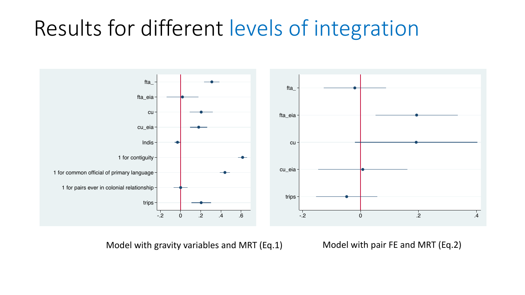#### Results for different levels of integration



Model with gravity variables and MRT (Eq.1) Model with pair FE and MRT (Eq.2)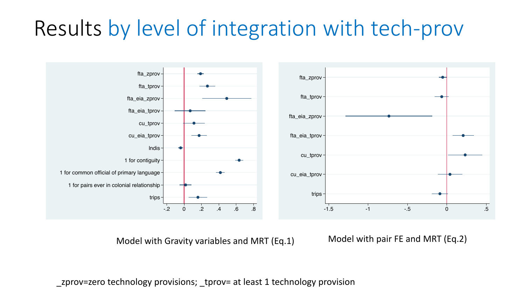#### Results by level of integration with tech-prov



Model with Gravity variables and MRT (Eq.1) Model with pair FE and MRT (Eq.2)

zprov=zero technology provisions; tprov= at least 1 technology provision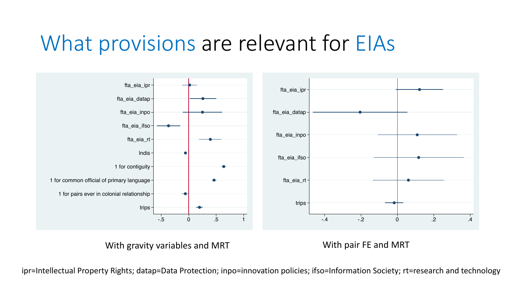#### What provisions are relevant for EIAs



With pair FE and MRT

With gravity variables and MRT

ipr=Intellectual Property Rights; datap=Data Protection; inpo=innovation policies; ifso=Information Society; rt=research and technology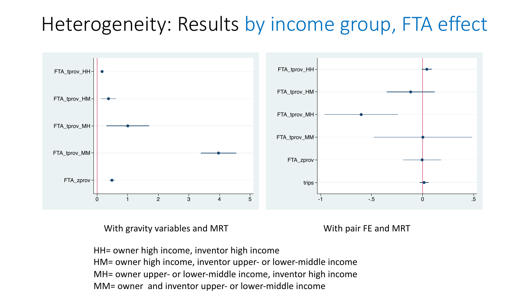#### Heterogeneity: Results by income group, FTA effect



With gravity variables and MRT With pair FE and MRT

HH= owner high income, inventor high income HM= owner high income, inventor upper- or lower-middle income MH= owner upper- or lower-middle income, inventor high income MM= owner and inventor upper- or lower-middle income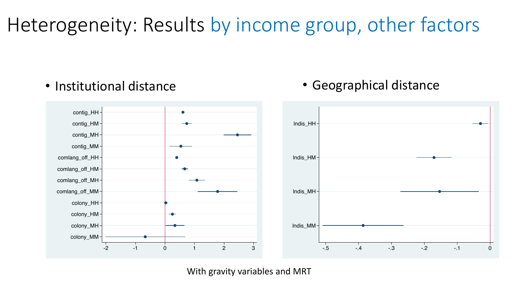#### Heterogeneity: Results by income group, other factors



• Geographical distance

• Institutional distance

With gravity variables and MRT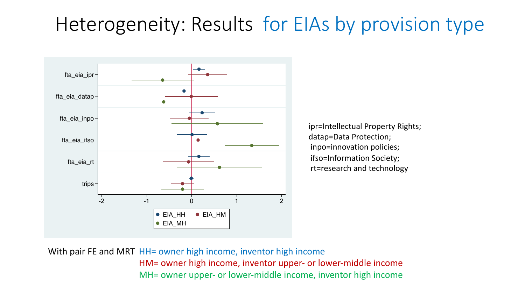#### Heterogeneity: Results for EIAs by provision type



ipr=Intellectual Property Rights; datap=Data Protection; inpo=innovation policies; ifso=Information Society; rt=research and technology

With pair FE and MRT HH= owner high income, inventor high income HM= owner high income, inventor upper- or lower-middle income MH= owner upper- or lower-middle income, inventor high income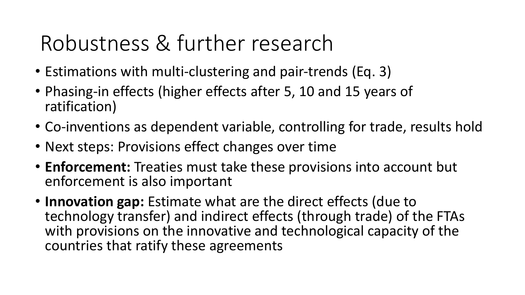## Robustness & further research

- Estimations with multi-clustering and pair-trends (Eq. 3)
- Phasing-in effects (higher effects after 5, 10 and 15 years of ratification)
- Co-inventions as dependent variable, controlling for trade, results hold
- Next steps: Provisions effect changes over time
- **Enforcement:** Treaties must take these provisions into account but enforcement is also important
- **Innovation gap:** Estimate what are the direct effects (due to technology transfer) and indirect effects (through trade) of the FTAs with provisions on the innovative and technological capacity of the countries that ratify these agreements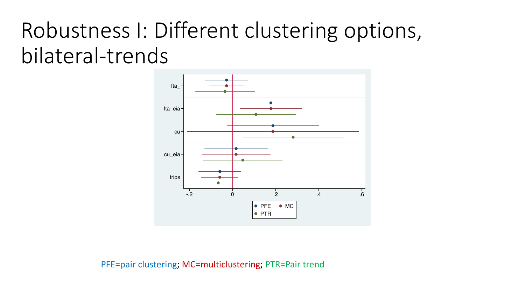## Robustness I: Different clustering options, bilateral-trends



PFE=pair clustering; MC=multiclustering; PTR=Pair trend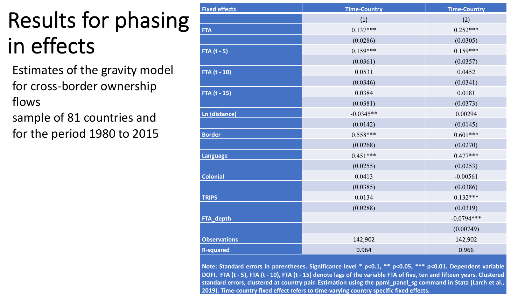## Results for phasing in effects

- Estimates of the gravity model for cross-border ownership flows
- sample of 81 countries and for the period 1980 to 2015

| <b>Fixed effects</b> | <b>Time-Country</b> | <b>Time-Country</b> |
|----------------------|---------------------|---------------------|
|                      | (1)                 | (2)                 |
| <b>FTA</b>           | $0.137***$          | $0.252***$          |
|                      | (0.0286)            | (0.0305)            |
| FTA $(t - 5)$        | $0.159***$          | $0.159***$          |
|                      | (0.0361)            | (0.0357)            |
| FTA (t - 10)         | 0.0531              | 0.0452              |
|                      | (0.0346)            | (0.0341)            |
| FTA (t - 15)         | 0.0384              | 0.0181              |
|                      | (0.0381)            | (0.0373)            |
| Ln (distance)        | $-0.0345**$         | 0.00294             |
|                      | (0.0142)            | (0.0145)            |
| <b>Border</b>        | $0.558***$          | $0.601***$          |
|                      | (0.0268)            | (0.0270)            |
| <b>Language</b>      | $0.451***$          | $0.477***$          |
|                      | (0.0255)            | (0.0253)            |
| <b>Colonial</b>      | 0.0413              | $-0.00561$          |
|                      | (0.0385)            | (0.0386)            |
| <b>TRIPS</b>         | 0.0134              | $0.132***$          |
|                      | (0.0288)            | (0.0319)            |
| FTA_depth            |                     | $-0.0794***$        |
|                      |                     | (0.00749)           |
| <b>Observations</b>  | 142,902             | 142,902             |
| <b>R-squared</b>     | 0.964               | 0.966               |

**Note: Standard errors in parentheses. Significance level \* p<0.1, \*\* p<0.05, \*\*\* p<0.01. Dependent variable** DOFI. FTA (t - 5), FTA (t - 10), FTA (t - 15) denote lags of the variable FTA of five, ten and fifteen years. Clustered **standard errors, clustered at country pair. Estimation using the ppml\_panel\_sg command in Stata (Larch et al., 2019). Time-country fixed effect refers to time-varying country specific fixed effects.**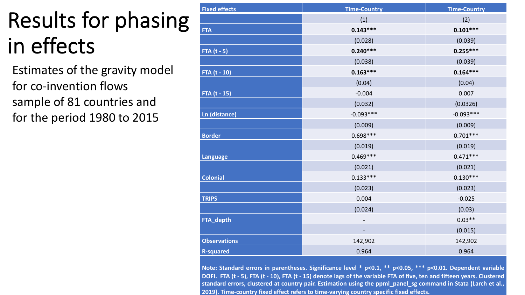## Results for phasing in effects

Estimates of the gravity model for co-invention flows sample of 81 countries and for the period 1980 to 2015

| <b>Fixed effects</b> | <b>Time-Country</b> | <b>Time-Country</b> |
|----------------------|---------------------|---------------------|
|                      | (1)                 | (2)                 |
| <b>FTA</b>           | $0.143***$          | $0.101***$          |
|                      | (0.028)             | (0.039)             |
| FTA $(t - 5)$        | $0.240***$          | $0.255***$          |
|                      | (0.038)             | (0.039)             |
| FTA (t - 10)         | $0.163***$          | $0.164***$          |
|                      | (0.04)              | (0.04)              |
| FTA (t - 15)         | $-0.004$            | 0.007               |
|                      | (0.032)             | (0.0326)            |
| Ln (distance)        | $-0.093***$         | $-0.093***$         |
|                      | (0.009)             | (0.009)             |
| <b>Border</b>        | $0.698***$          | $0.701***$          |
|                      | (0.019)             | (0.019)             |
| Language             | $0.469***$          | $0.471***$          |
|                      | (0.021)             | (0.021)             |
| <b>Colonial</b>      | $0.133***$          | $0.130***$          |
|                      | (0.023)             | (0.023)             |
| <b>TRIPS</b>         | 0.004               | $-0.025$            |
|                      | (0.024)             | (0.03)              |
| FTA_depth            |                     | $0.03**$            |
|                      |                     | (0.015)             |
| <b>Observations</b>  | 142,902             | 142,902             |
| <b>R-squared</b>     | 0.964               | 0.964               |

**Note: Standard errors in parentheses. Significance level \* p<0.1, \*\* p<0.05, \*\*\* p<0.01. Dependent variable** DOFI. FTA (t - 5), FTA (t - 10), FTA (t - 15) denote lags of the variable FTA of five, ten and fifteen years. Clustered **standard errors, clustered at country pair. Estimation using the ppml\_panel\_sg command in Stata (Larch et al., 2019). Time-country fixed effect refers to time-varying country specific fixed effects.**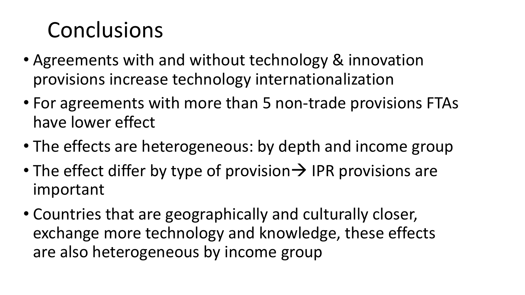## Conclusions

- Agreements with and without technology & innovation provisions increase technology internationalization
- For agreements with more than 5 non-trade provisions FTAs have lower effect
- The effects are heterogeneous: by depth and income group
- The effect differ by type of provision  $\rightarrow$  IPR provisions are important
- Countries that are geographically and culturally closer, exchange more technology and knowledge, these effects are also heterogeneous by income group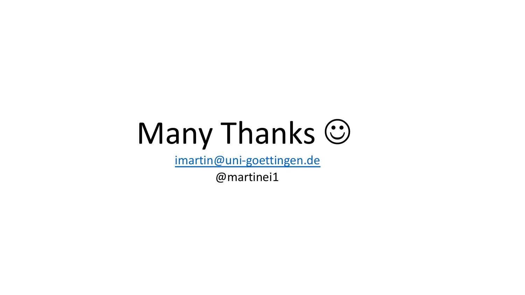# Many Thanks (

imartin@uni-goettingen.de

@martinei1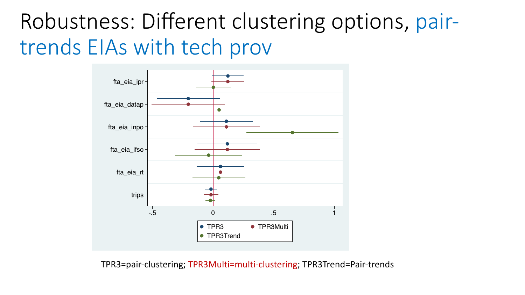#### Robustness: Different clustering options, pairtrends EIAs with tech prov



TPR3=pair-clustering; TPR3Multi=multi-clustering; TPR3Trend=Pair-trends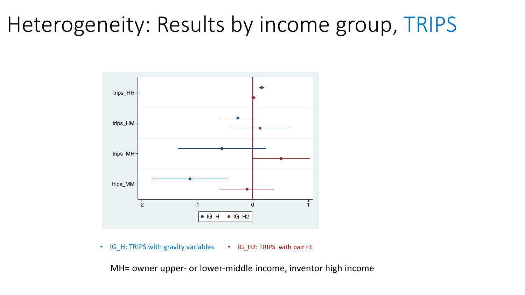#### Heterogeneity: Results by income group, TRIPS



• IG\_H: TRIPS with gravity variables • IG\_H2: TRIPS with pair FE

MH= owner upper- or lower-middle income, inventor high income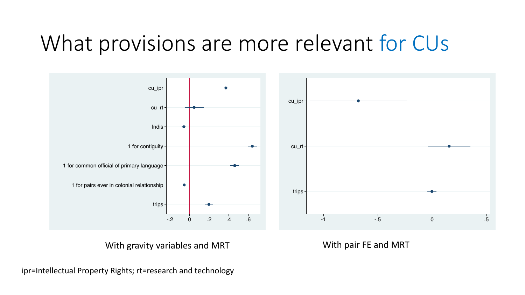#### What provisions are more relevant for CUs



With gravity variables and MRT With pair FE and MRT

ipr=Intellectual Property Rights; rt=research and technology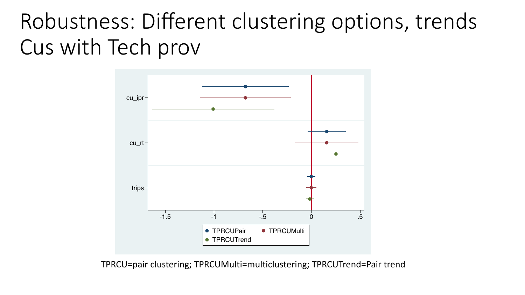#### Robustness: Different clustering options, trends Cus with Tech prov



TPRCU=pair clustering; TPRCUMulti=multiclustering; TPRCUTrend=Pair trend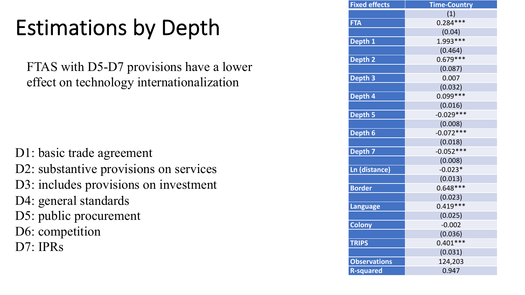## Estimations by Depth

FTAS with D5-D7 provisions have a lower effect on technology internationalization

D1: basic trade agreement D2: substantive provisions on services D3: includes provisions on investment D4: general standards D5: public procurement D6: competition D7: IPRs

| <b>Fixed effects</b> | <b>Time-Country</b> |  |  |  |
|----------------------|---------------------|--|--|--|
|                      | (1)                 |  |  |  |
| <b>FTA</b>           | $0.284***$          |  |  |  |
|                      | (0.04)              |  |  |  |
| Depth 1              | $1.993***$          |  |  |  |
|                      | (0.464)             |  |  |  |
| Depth <sub>2</sub>   | $0.679***$          |  |  |  |
|                      | (0.087)             |  |  |  |
| Depth 3              | 0.007               |  |  |  |
|                      | (0.032)             |  |  |  |
| Depth 4              | $0.099***$          |  |  |  |
|                      | (0.016)             |  |  |  |
| <b>Depth 5</b>       | $-0.029***$         |  |  |  |
|                      | (0.008)             |  |  |  |
| Depth 6              | $-0.072***$         |  |  |  |
|                      | (0.018)             |  |  |  |
| Depth <sub>7</sub>   | $-0.052***$         |  |  |  |
|                      | (0.008)             |  |  |  |
| <b>Ln (distance)</b> | $-0.023*$           |  |  |  |
|                      | (0.013)             |  |  |  |
| <b>Border</b>        | $0.648***$          |  |  |  |
|                      | (0.023)             |  |  |  |
| <b>Language</b>      | $0.419***$          |  |  |  |
|                      | (0.025)             |  |  |  |
| <b>Colony</b>        | $-0.002$            |  |  |  |
|                      | (0.036)             |  |  |  |
| <b>TRIPS</b>         | $0.401***$          |  |  |  |
|                      | (0.031)             |  |  |  |
| <b>Observations</b>  | 124,203             |  |  |  |
| <b>R-squared</b>     | 0.947               |  |  |  |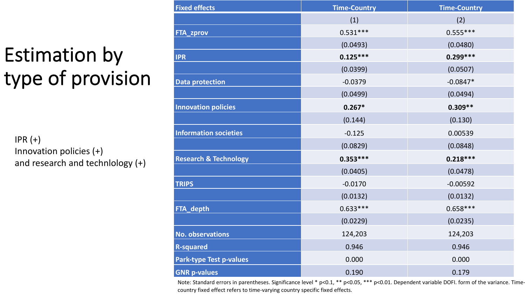#### Estimation by type of provision

 $IPR (+)$ Innovation policies (+) and research and technlology (+)

| <b>Fixed effects</b>             | <b>Time-Country</b> | <b>Time-Country</b> |
|----------------------------------|---------------------|---------------------|
|                                  | (1)                 | (2)                 |
| <b>FTA_zprov</b>                 | $0.531***$          | $0.555***$          |
|                                  | (0.0493)            | (0.0480)            |
| <b>IPR</b>                       | $0.125***$          | $0.299***$          |
|                                  | (0.0399)            | (0.0507)            |
| <b>Data protection</b>           | $-0.0379$           | $-0.0847*$          |
|                                  | (0.0499)            | (0.0494)            |
| <b>Innovation policies</b>       | $0.267*$            | $0.309**$           |
|                                  | (0.144)             | (0.130)             |
| <b>Information societies</b>     | $-0.125$            | 0.00539             |
|                                  | (0.0829)            | (0.0848)            |
| <b>Research &amp; Technology</b> | $0.353***$          | $0.218***$          |
|                                  | (0.0405)            | (0.0478)            |
| <b>TRIPS</b>                     | $-0.0170$           | $-0.00592$          |
|                                  | (0.0132)            | (0.0132)            |
| FTA_depth                        | $0.633***$          | $0.658***$          |
|                                  | (0.0229)            | (0.0235)            |
| <b>No. observations</b>          | 124,203             | 124,203             |
| <b>R-squared</b>                 | 0.946               | 0.946               |
| <b>Park-type Test p-values</b>   | 0.000               | 0.000               |
| <b>GNR p-values</b>              | 0.190               | 0.179               |

Note: Standard errors in parentheses. Significance level \* p<0.1, \*\* p<0.05, \*\*\* p<0.01. Dependent variable DOFI. form of the variance. Timecountry fixed effect refers to time-varying country specific fixed effects.